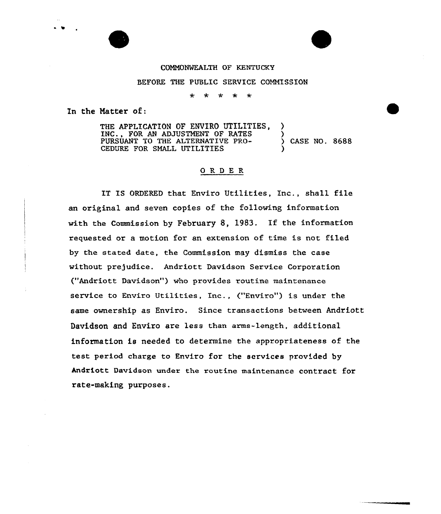## COMMONWEALTH OF KENTUCKY

## BEFORE THE PUBLIC SERVICE COMMISSION

 $\Delta \mathbf{r}$  $\star$ البهارية البهار  $\rightarrow$ 

In the Natter of:

THE APPLICATION OF ENVIRO UTILITIES. INC., FOR AN ADJUSTMENT OF RATES PURSUANT TO THE ALTERNATIVE PRO- ) CASE NO. 8688 CEDURE FOR SMALL UTILITIES

## ORDER

IT IS ORDERED that Enviro Utilities, Inc., shall file an original and seven copies of the following information with the Commission by February 8, 1983. If the information requested or a motion for an extension of time is not filed by the stated date, the Commission may dismiss the case without prejudice. Andriott Davidson Service Corporation ("Andriott Davidson") who provides routine maintenance service to Enviro Utilities, Inc., ("Enviro") is under the same ownership as Enviro. Since transactions between Andriott Davidson and Enviro are less than arms-length, additional information is needed to determine the appropriateness of the test period charge to Enviro for the services provided by Andriott Davidson under the routine maintenance contract for rate-making purposes.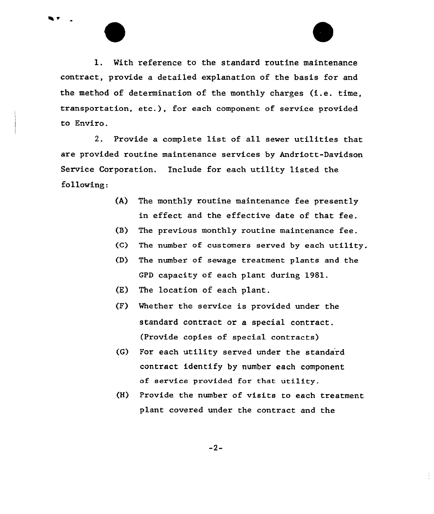

2. Provide a complete list of all sewer utilities that are provided routine maintenance services by Andriott-Davidson Service Corporation. include for each utility listed the following:

- (A) The monthly routine maintenance fee presently in effect and the effective date of that fee.
- (B) The previous monthly routine maintenance fee.
- (C) The number of customers served by each utility.
- (D) The number of sewage treatment plants and the GPD capacity of each plant during 1981.
- (E) The location of each plant.
- (F) Whether the service is provided under the standard contract or a special contract. (Provide copies of special contracts)
- (G) For each utility served under the standard contract identify by number each component of service provided for that utility.
- (H) Provide the number of visits to each treatment plant covered under the contract and the

-2-